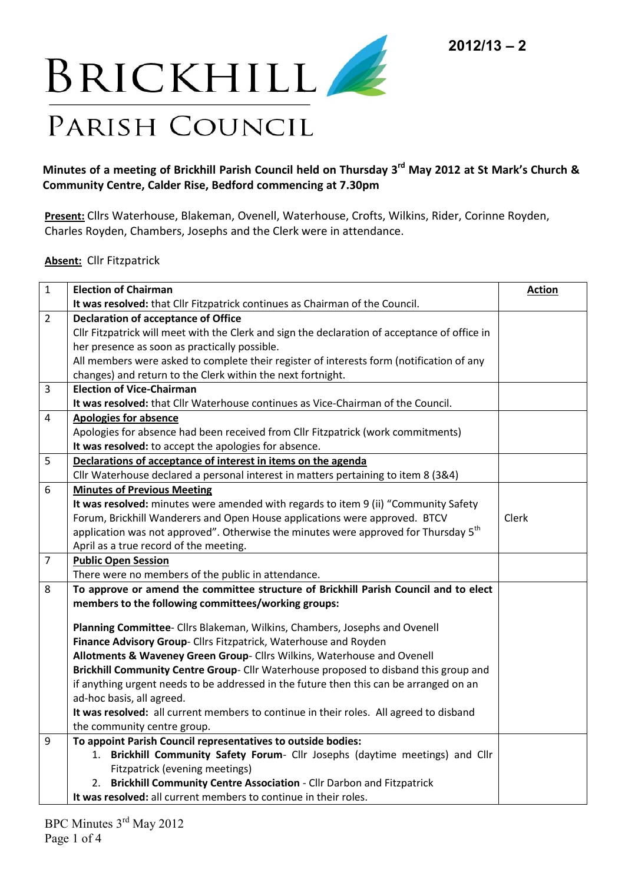

## **Minutes of a meeting of Brickhill Parish Council held on Thursday 3 rd May 2012 at St Mark's Church & Community Centre, Calder Rise, Bedford commencing at 7.30pm**

**Present:** Cllrs Waterhouse, Blakeman, Ovenell, Waterhouse, Crofts, Wilkins, Rider, Corinne Royden, Charles Royden, Chambers, Josephs and the Clerk were in attendance.

## **Absent:** Cllr Fitzpatrick

| $\mathbf{1}$   | <b>Election of Chairman</b>                                                                     | <b>Action</b> |
|----------------|-------------------------------------------------------------------------------------------------|---------------|
|                | It was resolved: that Cllr Fitzpatrick continues as Chairman of the Council.                    |               |
| $\overline{2}$ | <b>Declaration of acceptance of Office</b>                                                      |               |
|                | Cllr Fitzpatrick will meet with the Clerk and sign the declaration of acceptance of office in   |               |
|                | her presence as soon as practically possible.                                                   |               |
|                | All members were asked to complete their register of interests form (notification of any        |               |
|                | changes) and return to the Clerk within the next fortnight.                                     |               |
| 3              | <b>Election of Vice-Chairman</b>                                                                |               |
|                | It was resolved: that Cllr Waterhouse continues as Vice-Chairman of the Council.                |               |
| 4              | <b>Apologies for absence</b>                                                                    |               |
|                | Apologies for absence had been received from Cllr Fitzpatrick (work commitments)                |               |
|                | It was resolved: to accept the apologies for absence.                                           |               |
| 5              | Declarations of acceptance of interest in items on the agenda                                   |               |
|                | Cllr Waterhouse declared a personal interest in matters pertaining to item 8 (3&4)              |               |
| 6              | <b>Minutes of Previous Meeting</b>                                                              |               |
|                | It was resolved: minutes were amended with regards to item 9 (ii) "Community Safety             |               |
|                | Forum, Brickhill Wanderers and Open House applications were approved. BTCV                      | Clerk         |
|                | application was not approved". Otherwise the minutes were approved for Thursday 5 <sup>th</sup> |               |
|                | April as a true record of the meeting.                                                          |               |
| $\overline{7}$ | <b>Public Open Session</b>                                                                      |               |
|                | There were no members of the public in attendance.                                              |               |
| 8              | To approve or amend the committee structure of Brickhill Parish Council and to elect            |               |
|                | members to the following committees/working groups:                                             |               |
|                | Planning Committee- Cllrs Blakeman, Wilkins, Chambers, Josephs and Ovenell                      |               |
|                | Finance Advisory Group- Cllrs Fitzpatrick, Waterhouse and Royden                                |               |
|                | Allotments & Waveney Green Group- Cllrs Wilkins, Waterhouse and Ovenell                         |               |
|                | Brickhill Community Centre Group- Cllr Waterhouse proposed to disband this group and            |               |
|                | if anything urgent needs to be addressed in the future then this can be arranged on an          |               |
|                | ad-hoc basis, all agreed.                                                                       |               |
|                | It was resolved: all current members to continue in their roles. All agreed to disband          |               |
|                | the community centre group.                                                                     |               |
| 9              | To appoint Parish Council representatives to outside bodies:                                    |               |
|                | 1. Brickhill Community Safety Forum- Cllr Josephs (daytime meetings) and Cllr                   |               |
|                | Fitzpatrick (evening meetings)                                                                  |               |
|                | Brickhill Community Centre Association - Cllr Darbon and Fitzpatrick<br>2.                      |               |
|                | It was resolved: all current members to continue in their roles.                                |               |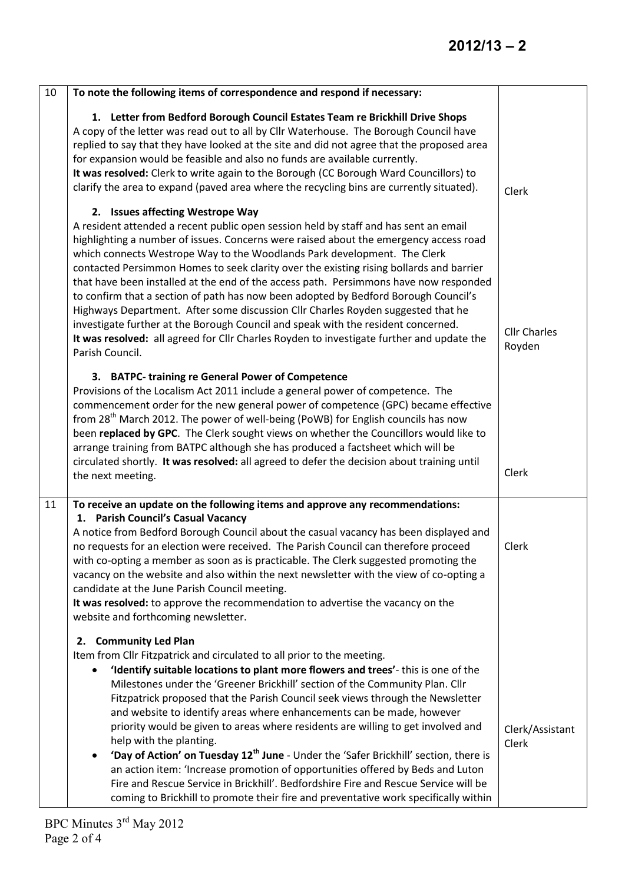| 10 | To note the following items of correspondence and respond if necessary:                                                                                                                                                                                                                                                                                                                                                                                                                                                                                                                                                                                                                                                                                                                                                                                                                                                                  |                               |
|----|------------------------------------------------------------------------------------------------------------------------------------------------------------------------------------------------------------------------------------------------------------------------------------------------------------------------------------------------------------------------------------------------------------------------------------------------------------------------------------------------------------------------------------------------------------------------------------------------------------------------------------------------------------------------------------------------------------------------------------------------------------------------------------------------------------------------------------------------------------------------------------------------------------------------------------------|-------------------------------|
|    | 1. Letter from Bedford Borough Council Estates Team re Brickhill Drive Shops<br>A copy of the letter was read out to all by Cllr Waterhouse. The Borough Council have<br>replied to say that they have looked at the site and did not agree that the proposed area<br>for expansion would be feasible and also no funds are available currently.<br>It was resolved: Clerk to write again to the Borough (CC Borough Ward Councillors) to<br>clarify the area to expand (paved area where the recycling bins are currently situated).                                                                                                                                                                                                                                                                                                                                                                                                    | Clerk                         |
|    | 2. Issues affecting Westrope Way<br>A resident attended a recent public open session held by staff and has sent an email<br>highlighting a number of issues. Concerns were raised about the emergency access road<br>which connects Westrope Way to the Woodlands Park development. The Clerk<br>contacted Persimmon Homes to seek clarity over the existing rising bollards and barrier<br>that have been installed at the end of the access path. Persimmons have now responded<br>to confirm that a section of path has now been adopted by Bedford Borough Council's<br>Highways Department. After some discussion Cllr Charles Royden suggested that he<br>investigate further at the Borough Council and speak with the resident concerned.<br>It was resolved: all agreed for Cllr Charles Royden to investigate further and update the<br>Parish Council.                                                                        | <b>Cllr Charles</b><br>Royden |
|    | 3. BATPC- training re General Power of Competence<br>Provisions of the Localism Act 2011 include a general power of competence. The<br>commencement order for the new general power of competence (GPC) became effective<br>from 28 <sup>th</sup> March 2012. The power of well-being (PoWB) for English councils has now<br>been replaced by GPC. The Clerk sought views on whether the Councillors would like to<br>arrange training from BATPC although she has produced a factsheet which will be<br>circulated shortly. It was resolved: all agreed to defer the decision about training until<br>the next meeting.                                                                                                                                                                                                                                                                                                                 | Clerk                         |
| 11 | To receive an update on the following items and approve any recommendations:<br>1. Parish Council's Casual Vacancy<br>A notice from Bedford Borough Council about the casual vacancy has been displayed and<br>no requests for an election were received. The Parish Council can therefore proceed<br>with co-opting a member as soon as is practicable. The Clerk suggested promoting the<br>vacancy on the website and also within the next newsletter with the view of co-opting a<br>candidate at the June Parish Council meeting.<br>It was resolved: to approve the recommendation to advertise the vacancy on the<br>website and forthcoming newsletter.                                                                                                                                                                                                                                                                          | Clerk                         |
|    | <b>Community Led Plan</b><br>2.<br>Item from Cllr Fitzpatrick and circulated to all prior to the meeting.<br>'Identify suitable locations to plant more flowers and trees'-this is one of the<br>$\bullet$<br>Milestones under the 'Greener Brickhill' section of the Community Plan. Cllr<br>Fitzpatrick proposed that the Parish Council seek views through the Newsletter<br>and website to identify areas where enhancements can be made, however<br>priority would be given to areas where residents are willing to get involved and<br>help with the planting.<br>'Day of Action' on Tuesday 12 <sup>th</sup> June - Under the 'Safer Brickhill' section, there is<br>an action item: 'Increase promotion of opportunities offered by Beds and Luton<br>Fire and Rescue Service in Brickhill'. Bedfordshire Fire and Rescue Service will be<br>coming to Brickhill to promote their fire and preventative work specifically within | Clerk/Assistant<br>Clerk      |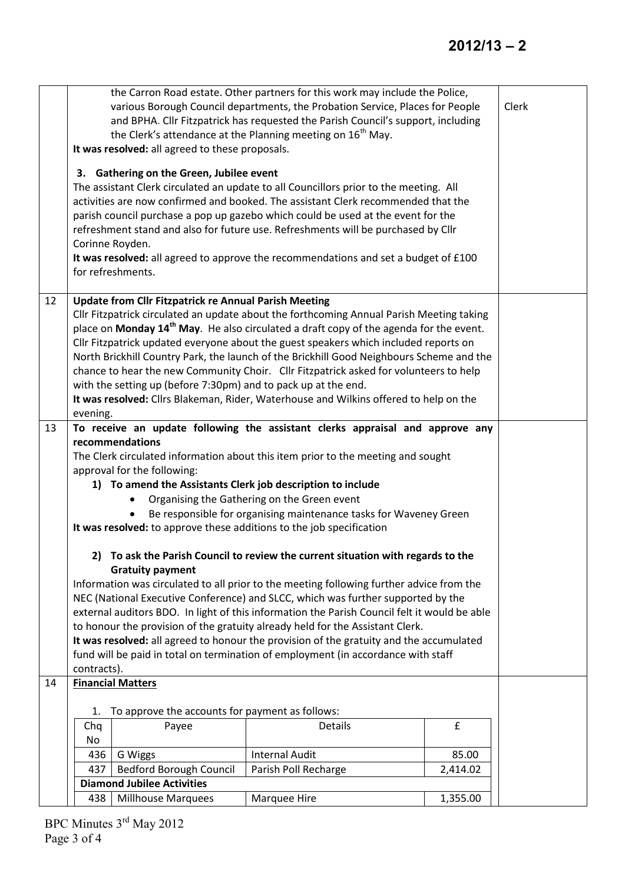|    | 438         | <b>Diamond Jubilee Activities</b><br><b>Millhouse Marquees</b> | Marquee Hire                                                                                                                                                                      | 1,355.00 |       |
|----|-------------|----------------------------------------------------------------|-----------------------------------------------------------------------------------------------------------------------------------------------------------------------------------|----------|-------|
|    | 437         | <b>Bedford Borough Council</b>                                 | Parish Poll Recharge                                                                                                                                                              | 2,414.02 |       |
|    | 436         | G Wiggs                                                        | <b>Internal Audit</b>                                                                                                                                                             | 85.00    |       |
|    | Chq<br>No   | Payee                                                          | <b>Details</b>                                                                                                                                                                    |          |       |
|    | 1.          | To approve the accounts for payment as follows:                |                                                                                                                                                                                   | £        |       |
|    |             |                                                                |                                                                                                                                                                                   |          |       |
| 14 |             | <b>Financial Matters</b>                                       |                                                                                                                                                                                   |          |       |
|    | contracts). |                                                                |                                                                                                                                                                                   |          |       |
|    |             |                                                                | fund will be paid in total on termination of employment (in accordance with staff                                                                                                 |          |       |
|    |             |                                                                | It was resolved: all agreed to honour the provision of the gratuity and the accumulated                                                                                           |          |       |
|    |             |                                                                | to honour the provision of the gratuity already held for the Assistant Clerk.                                                                                                     |          |       |
|    |             |                                                                | external auditors BDO. In light of this information the Parish Council felt it would be able                                                                                      |          |       |
|    |             |                                                                | Information was circulated to all prior to the meeting following further advice from the<br>NEC (National Executive Conference) and SLCC, which was further supported by the      |          |       |
|    |             | <b>Gratuity payment</b>                                        |                                                                                                                                                                                   |          |       |
|    |             |                                                                | 2) To ask the Parish Council to review the current situation with regards to the                                                                                                  |          |       |
|    |             |                                                                |                                                                                                                                                                                   |          |       |
|    |             |                                                                | It was resolved: to approve these additions to the job specification                                                                                                              |          |       |
|    |             |                                                                | Be responsible for organising maintenance tasks for Waveney Green                                                                                                                 |          |       |
|    |             |                                                                | 1) To amend the Assistants Clerk job description to include<br>Organising the Gathering on the Green event                                                                        |          |       |
|    |             | approval for the following:                                    |                                                                                                                                                                                   |          |       |
|    |             |                                                                | The Clerk circulated information about this item prior to the meeting and sought                                                                                                  |          |       |
|    |             | recommendations                                                |                                                                                                                                                                                   |          |       |
| 13 |             |                                                                | To receive an update following the assistant clerks appraisal and approve any                                                                                                     |          |       |
|    | evening.    |                                                                |                                                                                                                                                                                   |          |       |
|    |             |                                                                | It was resolved: Cllrs Blakeman, Rider, Waterhouse and Wilkins offered to help on the                                                                                             |          |       |
|    |             | with the setting up (before 7:30pm) and to pack up at the end. |                                                                                                                                                                                   |          |       |
|    |             |                                                                | North Brickhill Country Park, the launch of the Brickhill Good Neighbours Scheme and the<br>chance to hear the new Community Choir. Cllr Fitzpatrick asked for volunteers to help |          |       |
|    |             |                                                                | Cllr Fitzpatrick updated everyone about the guest speakers which included reports on                                                                                              |          |       |
|    |             |                                                                | place on Monday 14 <sup>th</sup> May. He also circulated a draft copy of the agenda for the event.                                                                                |          |       |
|    |             |                                                                | Cllr Fitzpatrick circulated an update about the forthcoming Annual Parish Meeting taking                                                                                          |          |       |
| 12 |             | <b>Update from Cllr Fitzpatrick re Annual Parish Meeting</b>   |                                                                                                                                                                                   |          |       |
|    |             | for refreshments.                                              | It was resolved: all agreed to approve the recommendations and set a budget of £100                                                                                               |          |       |
|    |             | Corinne Royden.                                                | refreshment stand and also for future use. Refreshments will be purchased by Cllr                                                                                                 |          |       |
|    |             |                                                                | parish council purchase a pop up gazebo which could be used at the event for the                                                                                                  |          |       |
|    |             |                                                                | activities are now confirmed and booked. The assistant Clerk recommended that the                                                                                                 |          |       |
|    |             |                                                                | The assistant Clerk circulated an update to all Councillors prior to the meeting. All                                                                                             |          |       |
|    |             | 3. Gathering on the Green, Jubilee event                       |                                                                                                                                                                                   |          |       |
|    |             | It was resolved: all agreed to these proposals.                |                                                                                                                                                                                   |          |       |
|    |             |                                                                | the Clerk's attendance at the Planning meeting on 16 <sup>th</sup> May.                                                                                                           |          |       |
|    |             |                                                                | and BPHA. Cllr Fitzpatrick has requested the Parish Council's support, including                                                                                                  |          |       |
|    |             |                                                                | the Carron Road estate. Other partners for this work may include the Police,<br>various Borough Council departments, the Probation Service, Places for People                     |          | Clerk |
|    |             |                                                                |                                                                                                                                                                                   |          |       |